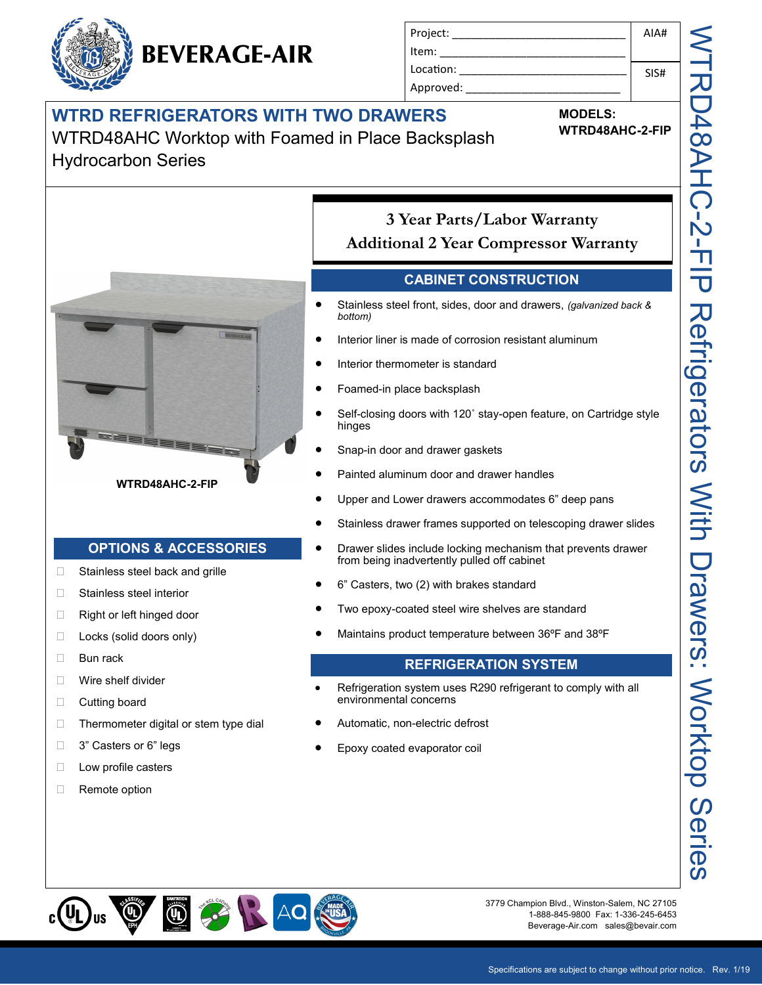## **WTRD REFRIGERATORS WITH TWO DRAWERS**

**BEVERAGE-AIR** 

WTRD48AHC Worktop with Foamed in Place Backsplash

### Hydrocarbon Series

 $\Box$  Stainless steel back and grille

**WTRD48AHC-2-FIP**

**OPTIONS & ACCESSORIES**

 $\Box$  Thermometer digital or stem type dial

Stainless steel interior □ Right or left hinged door □ Locks (solid doors only)

□ Bun rack

 Wire shelf divider □ Cutting board

□ 3" Casters or 6" legs **Low profile casters** 

□ Remote option



**MODELS:**

**WTRD48AHC-2-FIP**

AIA#

SIS#

## **3 Year Parts/Labor Warranty Additional 2 Year Compressor Warranty**

#### **CABINET CONSTRUCTION**

- Stainless steel front, sides, door and drawers, *(galvanized back & bottom)*
- Interior liner is made of corrosion resistant aluminum
- Interior thermometer is standard
- Foamed-in place backsplash
- Self-closing doors with 120˚ stay-open feature, on Cartridge style hinges
- Snap-in door and drawer gaskets
- Painted aluminum door and drawer handles
- Upper and Lower drawers accommodates 6" deep pans
- Stainless drawer frames supported on telescoping drawer slides
- Drawer slides include locking mechanism that prevents drawer from being inadvertently pulled off cabinet
- 6" Casters, two (2) with brakes standard
- Two epoxy-coated steel wire shelves are standard
- Maintains product temperature between 36ºF and 38ºF

#### **REFRIGERATION SYSTEM**

- Refrigeration system uses R290 refrigerant to comply with all environmental concerns
- Automatic, non-electric defrost
- Epoxy coated evaporator coil

ၯ



3779 Champion Blvd., Winston-Salem, NC 27105 1-888-845-9800 Fax: 1-336-245-6453 Beverage-Air.com sales@bevair.com